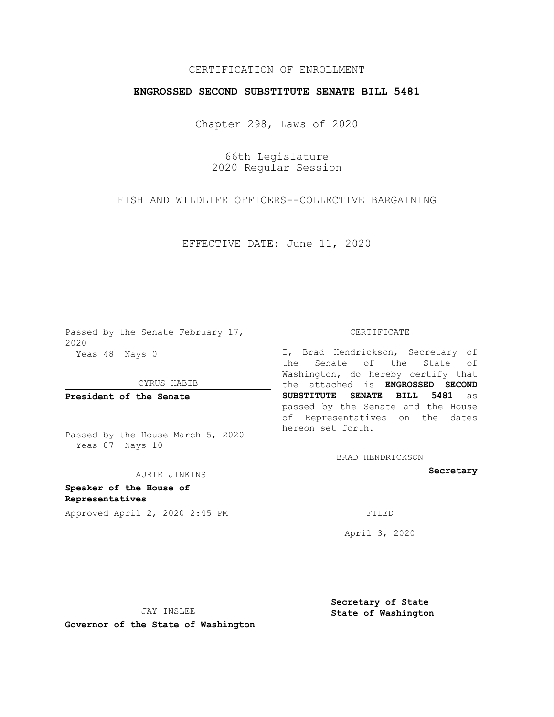## CERTIFICATION OF ENROLLMENT

## **ENGROSSED SECOND SUBSTITUTE SENATE BILL 5481**

Chapter 298, Laws of 2020

66th Legislature 2020 Regular Session

FISH AND WILDLIFE OFFICERS--COLLECTIVE BARGAINING

EFFECTIVE DATE: June 11, 2020

Passed by the Senate February 17, 2020 Yeas 48 Nays 0

CYRUS HABIB

**President of the Senate**

Passed by the House March 5, 2020 Yeas 87 Nays 10

## LAURIE JINKINS

**Speaker of the House of Representatives**

Approved April 2, 2020 2:45 PM FILED

CERTIFICATE

I, Brad Hendrickson, Secretary of the Senate of the State of Washington, do hereby certify that the attached is **ENGROSSED SECOND SUBSTITUTE SENATE BILL 5481** as passed by the Senate and the House of Representatives on the dates hereon set forth.

BRAD HENDRICKSON

**Secretary**

April 3, 2020

JAY INSLEE

**Governor of the State of Washington**

**Secretary of State State of Washington**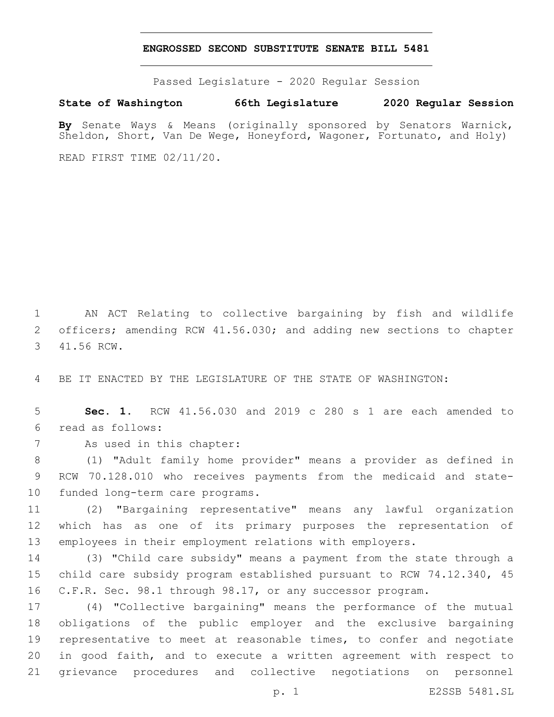## **ENGROSSED SECOND SUBSTITUTE SENATE BILL 5481**

Passed Legislature - 2020 Regular Session

**State of Washington 66th Legislature 2020 Regular Session**

**By** Senate Ways & Means (originally sponsored by Senators Warnick, Sheldon, Short, Van De Wege, Honeyford, Wagoner, Fortunato, and Holy)

READ FIRST TIME 02/11/20.

 AN ACT Relating to collective bargaining by fish and wildlife officers; amending RCW 41.56.030; and adding new sections to chapter 3 41.56 RCW.

BE IT ENACTED BY THE LEGISLATURE OF THE STATE OF WASHINGTON:

 **Sec. 1.** RCW 41.56.030 and 2019 c 280 s 1 are each amended to read as follows:6

7 As used in this chapter:

 (1) "Adult family home provider" means a provider as defined in RCW 70.128.010 who receives payments from the medicaid and state-10 funded long-term care programs.

 (2) "Bargaining representative" means any lawful organization which has as one of its primary purposes the representation of employees in their employment relations with employers.

 (3) "Child care subsidy" means a payment from the state through a child care subsidy program established pursuant to RCW 74.12.340, 45 C.F.R. Sec. 98.1 through 98.17, or any successor program.

 (4) "Collective bargaining" means the performance of the mutual obligations of the public employer and the exclusive bargaining representative to meet at reasonable times, to confer and negotiate in good faith, and to execute a written agreement with respect to grievance procedures and collective negotiations on personnel

p. 1 E2SSB 5481.SL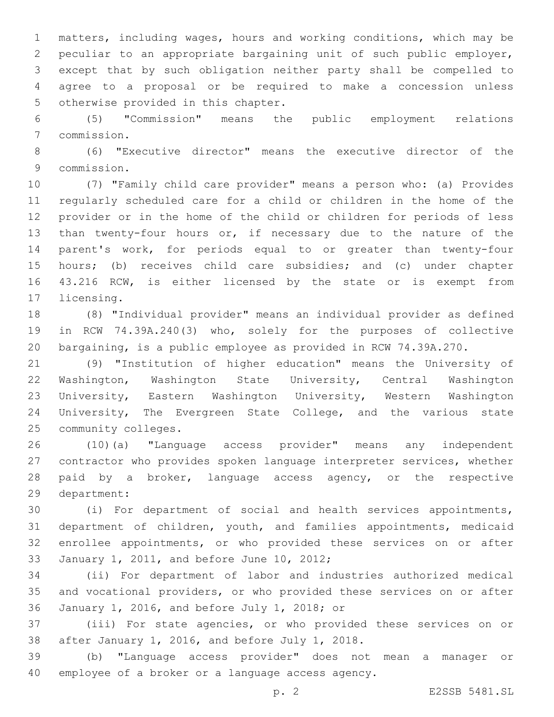matters, including wages, hours and working conditions, which may be peculiar to an appropriate bargaining unit of such public employer, except that by such obligation neither party shall be compelled to agree to a proposal or be required to make a concession unless 5 otherwise provided in this chapter.

 (5) "Commission" means the public employment relations commission.7

 (6) "Executive director" means the executive director of the 9 commission.

 (7) "Family child care provider" means a person who: (a) Provides regularly scheduled care for a child or children in the home of the provider or in the home of the child or children for periods of less than twenty-four hours or, if necessary due to the nature of the parent's work, for periods equal to or greater than twenty-four hours; (b) receives child care subsidies; and (c) under chapter 43.216 RCW, is either licensed by the state or is exempt from 17 licensing.

 (8) "Individual provider" means an individual provider as defined in RCW 74.39A.240(3) who, solely for the purposes of collective bargaining, is a public employee as provided in RCW 74.39A.270.

 (9) "Institution of higher education" means the University of Washington, Washington State University, Central Washington University, Eastern Washington University, Western Washington University, The Evergreen State College, and the various state 25 community colleges.

 (10)(a) "Language access provider" means any independent contractor who provides spoken language interpreter services, whether 28 paid by a broker, language access agency, or the respective 29 department:

 (i) For department of social and health services appointments, department of children, youth, and families appointments, medicaid enrollee appointments, or who provided these services on or after 33 January 1, 2011, and before June 10, 2012;

 (ii) For department of labor and industries authorized medical and vocational providers, or who provided these services on or after January 1, 2016, and before July 1, 2018; or36

 (iii) For state agencies, or who provided these services on or 38 after January 1, 2016, and before July 1, 2018.

 (b) "Language access provider" does not mean a manager or 40 employee of a broker or a language access agency.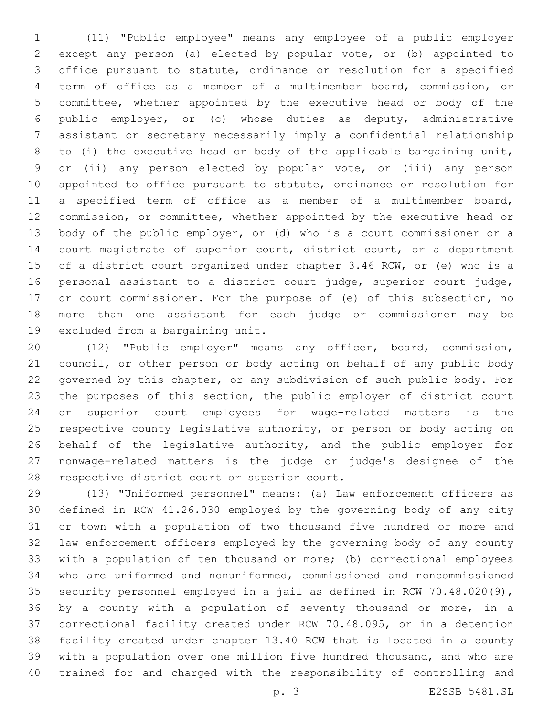(11) "Public employee" means any employee of a public employer except any person (a) elected by popular vote, or (b) appointed to office pursuant to statute, ordinance or resolution for a specified term of office as a member of a multimember board, commission, or committee, whether appointed by the executive head or body of the public employer, or (c) whose duties as deputy, administrative assistant or secretary necessarily imply a confidential relationship to (i) the executive head or body of the applicable bargaining unit, or (ii) any person elected by popular vote, or (iii) any person appointed to office pursuant to statute, ordinance or resolution for a specified term of office as a member of a multimember board, commission, or committee, whether appointed by the executive head or body of the public employer, or (d) who is a court commissioner or a court magistrate of superior court, district court, or a department of a district court organized under chapter 3.46 RCW, or (e) who is a personal assistant to a district court judge, superior court judge, or court commissioner. For the purpose of (e) of this subsection, no more than one assistant for each judge or commissioner may be 19 excluded from a bargaining unit.

 (12) "Public employer" means any officer, board, commission, council, or other person or body acting on behalf of any public body governed by this chapter, or any subdivision of such public body. For the purposes of this section, the public employer of district court or superior court employees for wage-related matters is the respective county legislative authority, or person or body acting on 26 behalf of the legislative authority, and the public employer for nonwage-related matters is the judge or judge's designee of the 28 respective district court or superior court.

 (13) "Uniformed personnel" means: (a) Law enforcement officers as defined in RCW 41.26.030 employed by the governing body of any city or town with a population of two thousand five hundred or more and law enforcement officers employed by the governing body of any county with a population of ten thousand or more; (b) correctional employees who are uniformed and nonuniformed, commissioned and noncommissioned security personnel employed in a jail as defined in RCW 70.48.020(9), by a county with a population of seventy thousand or more, in a correctional facility created under RCW 70.48.095, or in a detention facility created under chapter 13.40 RCW that is located in a county with a population over one million five hundred thousand, and who are trained for and charged with the responsibility of controlling and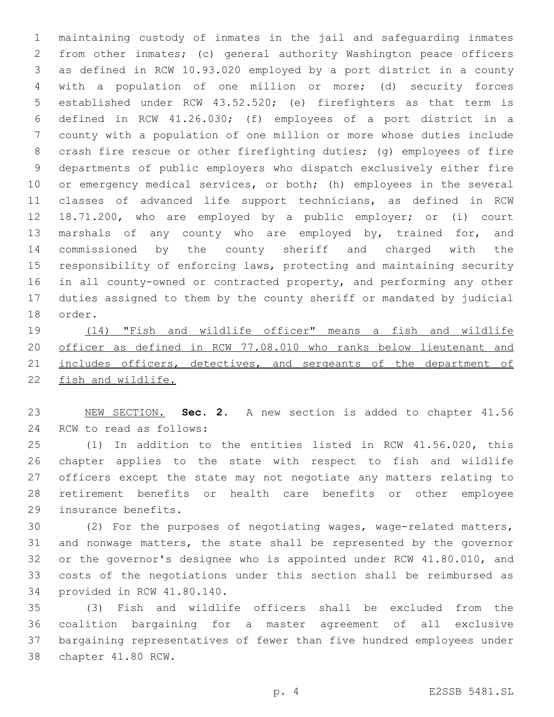maintaining custody of inmates in the jail and safeguarding inmates from other inmates; (c) general authority Washington peace officers as defined in RCW 10.93.020 employed by a port district in a county with a population of one million or more; (d) security forces established under RCW 43.52.520; (e) firefighters as that term is defined in RCW 41.26.030; (f) employees of a port district in a county with a population of one million or more whose duties include crash fire rescue or other firefighting duties; (g) employees of fire departments of public employers who dispatch exclusively either fire or emergency medical services, or both; (h) employees in the several classes of advanced life support technicians, as defined in RCW 18.71.200, who are employed by a public employer; or (i) court marshals of any county who are employed by, trained for, and commissioned by the county sheriff and charged with the responsibility of enforcing laws, protecting and maintaining security in all county-owned or contracted property, and performing any other duties assigned to them by the county sheriff or mandated by judicial order.

 (14) "Fish and wildlife officer" means a fish and wildlife officer as defined in RCW 77.08.010 who ranks below lieutenant and 21 includes officers, detectives, and sergeants of the department of fish and wildlife.

 NEW SECTION. **Sec. 2.** A new section is added to chapter 41.56 24 RCW to read as follows:

 (1) In addition to the entities listed in RCW 41.56.020, this chapter applies to the state with respect to fish and wildlife officers except the state may not negotiate any matters relating to retirement benefits or health care benefits or other employee 29 insurance benefits.

 (2) For the purposes of negotiating wages, wage-related matters, and nonwage matters, the state shall be represented by the governor or the governor's designee who is appointed under RCW 41.80.010, and costs of the negotiations under this section shall be reimbursed as 34 provided in RCW 41.80.140.

 (3) Fish and wildlife officers shall be excluded from the coalition bargaining for a master agreement of all exclusive bargaining representatives of fewer than five hundred employees under 38 chapter 41.80 RCW.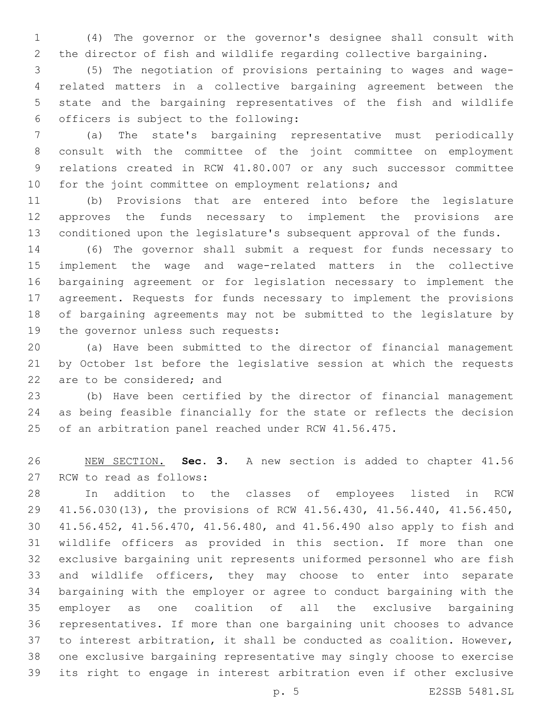(4) The governor or the governor's designee shall consult with the director of fish and wildlife regarding collective bargaining.

 (5) The negotiation of provisions pertaining to wages and wage- related matters in a collective bargaining agreement between the state and the bargaining representatives of the fish and wildlife officers is subject to the following:6

 (a) The state's bargaining representative must periodically consult with the committee of the joint committee on employment relations created in RCW 41.80.007 or any such successor committee for the joint committee on employment relations; and

 (b) Provisions that are entered into before the legislature approves the funds necessary to implement the provisions are conditioned upon the legislature's subsequent approval of the funds.

 (6) The governor shall submit a request for funds necessary to implement the wage and wage-related matters in the collective bargaining agreement or for legislation necessary to implement the agreement. Requests for funds necessary to implement the provisions of bargaining agreements may not be submitted to the legislature by 19 the governor unless such requests:

 (a) Have been submitted to the director of financial management by October 1st before the legislative session at which the requests 22 are to be considered; and

 (b) Have been certified by the director of financial management as being feasible financially for the state or reflects the decision of an arbitration panel reached under RCW 41.56.475.

 NEW SECTION. **Sec. 3.** A new section is added to chapter 41.56 27 RCW to read as follows:

 In addition to the classes of employees listed in RCW 41.56.030(13), the provisions of RCW 41.56.430, 41.56.440, 41.56.450, 41.56.452, 41.56.470, 41.56.480, and 41.56.490 also apply to fish and wildlife officers as provided in this section. If more than one exclusive bargaining unit represents uniformed personnel who are fish and wildlife officers, they may choose to enter into separate bargaining with the employer or agree to conduct bargaining with the employer as one coalition of all the exclusive bargaining representatives. If more than one bargaining unit chooses to advance to interest arbitration, it shall be conducted as coalition. However, one exclusive bargaining representative may singly choose to exercise its right to engage in interest arbitration even if other exclusive

p. 5 E2SSB 5481.SL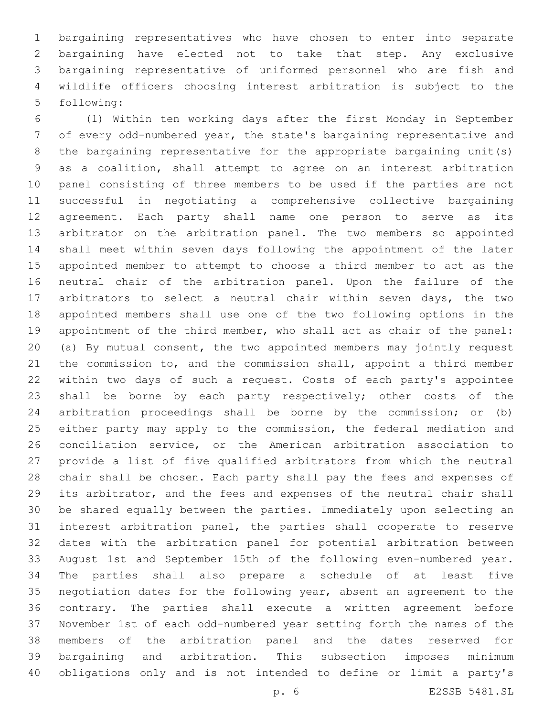bargaining representatives who have chosen to enter into separate bargaining have elected not to take that step. Any exclusive bargaining representative of uniformed personnel who are fish and wildlife officers choosing interest arbitration is subject to the 5 following:

 (1) Within ten working days after the first Monday in September of every odd-numbered year, the state's bargaining representative and the bargaining representative for the appropriate bargaining unit(s) as a coalition, shall attempt to agree on an interest arbitration panel consisting of three members to be used if the parties are not successful in negotiating a comprehensive collective bargaining agreement. Each party shall name one person to serve as its arbitrator on the arbitration panel. The two members so appointed shall meet within seven days following the appointment of the later appointed member to attempt to choose a third member to act as the neutral chair of the arbitration panel. Upon the failure of the arbitrators to select a neutral chair within seven days, the two appointed members shall use one of the two following options in the 19 appointment of the third member, who shall act as chair of the panel: (a) By mutual consent, the two appointed members may jointly request the commission to, and the commission shall, appoint a third member within two days of such a request. Costs of each party's appointee shall be borne by each party respectively; other costs of the arbitration proceedings shall be borne by the commission; or (b) either party may apply to the commission, the federal mediation and conciliation service, or the American arbitration association to provide a list of five qualified arbitrators from which the neutral chair shall be chosen. Each party shall pay the fees and expenses of its arbitrator, and the fees and expenses of the neutral chair shall be shared equally between the parties. Immediately upon selecting an interest arbitration panel, the parties shall cooperate to reserve dates with the arbitration panel for potential arbitration between August 1st and September 15th of the following even-numbered year. The parties shall also prepare a schedule of at least five negotiation dates for the following year, absent an agreement to the contrary. The parties shall execute a written agreement before November 1st of each odd-numbered year setting forth the names of the members of the arbitration panel and the dates reserved for bargaining and arbitration. This subsection imposes minimum obligations only and is not intended to define or limit a party's

p. 6 E2SSB 5481.SL